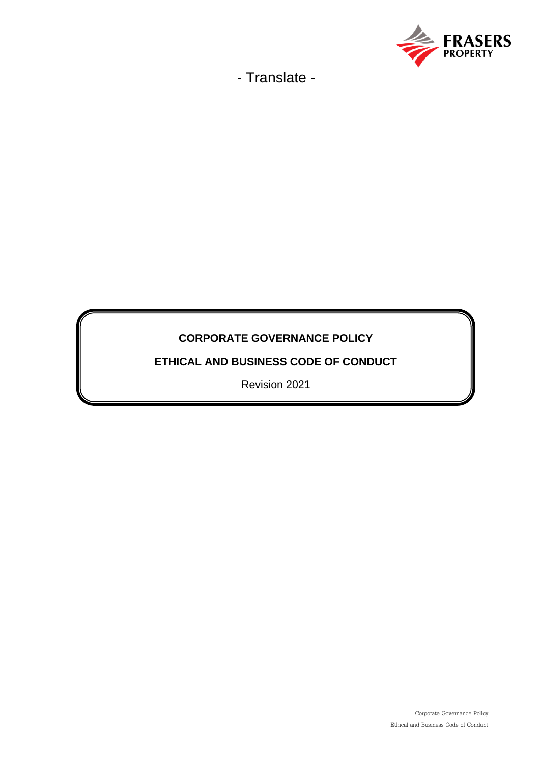

# **CORPORATE GOVERNANCE POLICY**

**ETHICAL AND BUSINESS CODE OF CONDUCT**

Revision 2021

Corporate Governance Policy Ethical and Business Code of Conduct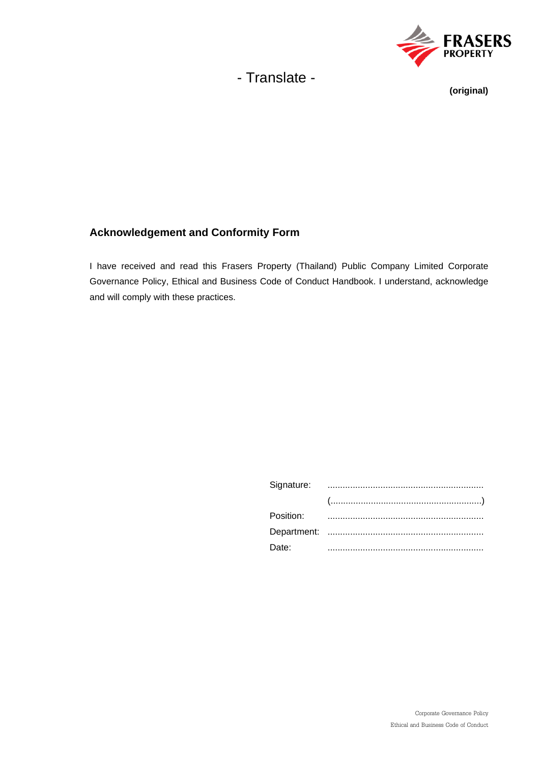

## **(original)**

## **Acknowledgement and Conformity Form**

I have received and read this Frasers Property (Thailand) Public Company Limited Corporate Governance Policy, Ethical and Business Code of Conduct Handbook. I understand, acknowledge and will comply with these practices.

| Date: |  |
|-------|--|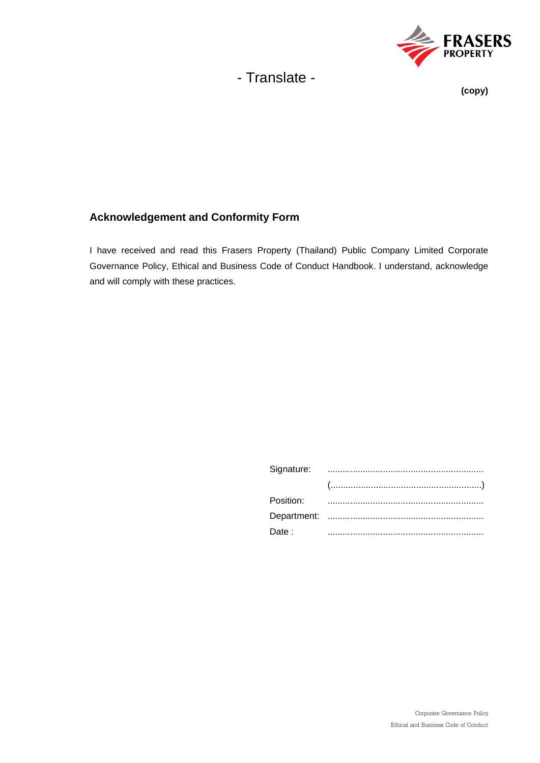

### **(copy)**

# **Acknowledgement and Conformity Form**

I have received and read this Frasers Property (Thailand) Public Company Limited Corporate Governance Policy, Ethical and Business Code of Conduct Handbook. I understand, acknowledge and will comply with these practices.

| $(\ldots,\ldots,\ldots,\ldots,\ldots,\ldots,\ldots,\ldots,\ldots,\ldots,\ldots,\ldots))$ |
|------------------------------------------------------------------------------------------|
|                                                                                          |
|                                                                                          |
|                                                                                          |
|                                                                                          |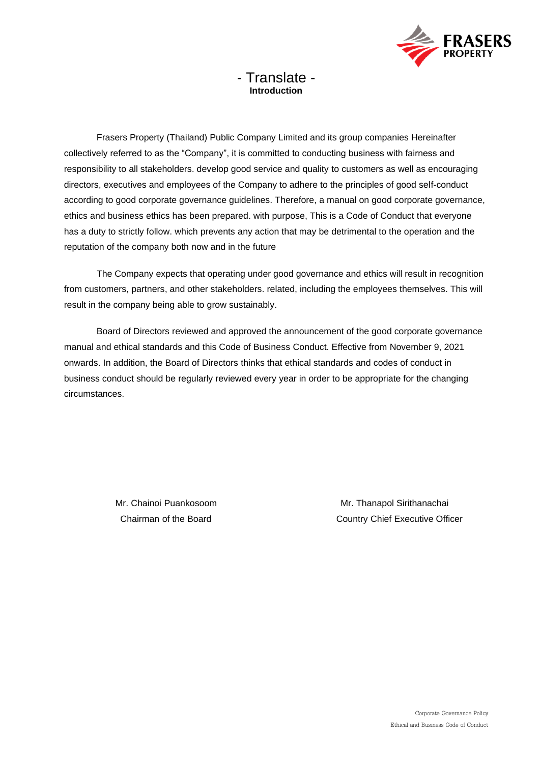

# - Translate - **Introduction**

Frasers Property (Thailand) Public Company Limited and its group companies Hereinafter collectively referred to as the "Company", it is committed to conducting business with fairness and responsibility to all stakeholders. develop good service and quality to customers as well as encouraging directors, executives and employees of the Company to adhere to the principles of good self-conduct according to good corporate governance guidelines. Therefore, a manual on good corporate governance, ethics and business ethics has been prepared. with purpose, This is a Code of Conduct that everyone has a duty to strictly follow. which prevents any action that may be detrimental to the operation and the reputation of the company both now and in the future

The Company expects that operating under good governance and ethics will result in recognition from customers, partners, and other stakeholders. related, including the employees themselves. This will result in the company being able to grow sustainably.

Board of Directors reviewed and approved the announcement of the good corporate governance manual and ethical standards and this Code of Business Conduct. Effective from November 9, 2021 onwards. In addition, the Board of Directors thinks that ethical standards and codes of conduct in business conduct should be regularly reviewed every year in order to be appropriate for the changing circumstances.

Mr. Chainoi Puankosoom **Mr. Thanapol Sirithanachai** Chairman of the Board Country Chief Executive Officer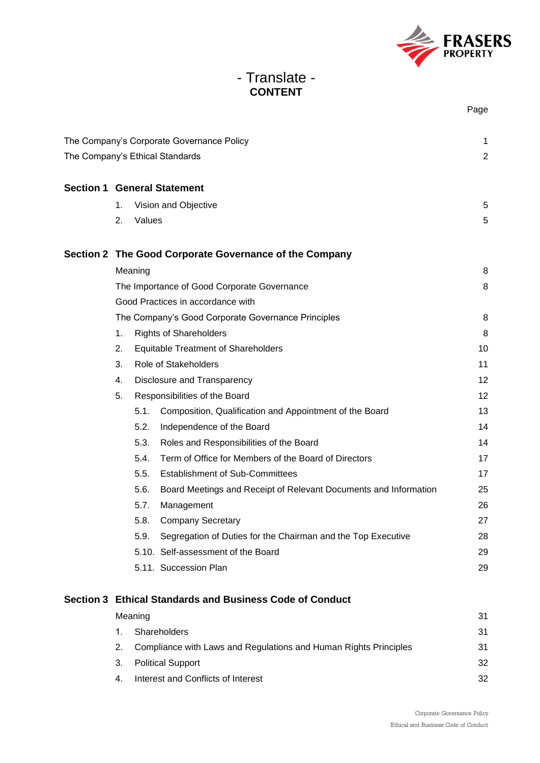

# - Translate - **CONTENT**

|                                 |                                                    |         |                                                                  | Page           |
|---------------------------------|----------------------------------------------------|---------|------------------------------------------------------------------|----------------|
|                                 |                                                    |         | The Company's Corporate Governance Policy                        | 1              |
| The Company's Ethical Standards |                                                    |         |                                                                  | $\overline{2}$ |
|                                 |                                                    |         | <b>Section 1 General Statement</b>                               |                |
|                                 |                                                    |         |                                                                  |                |
|                                 | 1.                                                 | Values  | Vision and Objective                                             | 5              |
|                                 | 2.                                                 |         |                                                                  | 5              |
|                                 |                                                    |         | Section 2 The Good Corporate Governance of the Company           |                |
|                                 |                                                    | Meaning |                                                                  | 8              |
|                                 | The Importance of Good Corporate Governance        |         |                                                                  | 8              |
|                                 | Good Practices in accordance with                  |         |                                                                  |                |
|                                 | The Company's Good Corporate Governance Principles |         |                                                                  | 8              |
|                                 | <b>Rights of Shareholders</b><br>1.                |         | 8                                                                |                |
|                                 | 2.<br><b>Equitable Treatment of Shareholders</b>   |         | 10                                                               |                |
|                                 | 3.                                                 |         | Role of Stakeholders                                             |                |
|                                 | 4.                                                 |         | Disclosure and Transparency                                      |                |
|                                 | 5.                                                 |         | Responsibilities of the Board                                    |                |
|                                 |                                                    | 5.1.    | Composition, Qualification and Appointment of the Board          | 13             |
|                                 |                                                    | 5.2.    | Independence of the Board                                        | 14             |
|                                 |                                                    | 5.3.    | Roles and Responsibilities of the Board                          | 14             |
|                                 |                                                    | 5.4.    | Term of Office for Members of the Board of Directors             | 17             |
|                                 |                                                    | 5.5.    | <b>Establishment of Sub-Committees</b>                           | 17             |
|                                 |                                                    | 5.6.    | Board Meetings and Receipt of Relevant Documents and Information | 25             |
|                                 |                                                    | 5.7.    | Management                                                       | 26             |
|                                 |                                                    | 5.8.    | <b>Company Secretary</b>                                         | 27             |
|                                 |                                                    | 5.9.    | Segregation of Duties for the Chairman and the Top Executive     | 28             |
|                                 |                                                    |         | 5.10. Self-assessment of the Board                               | 29             |
|                                 |                                                    |         | 5.11. Succession Plan                                            | 29             |
|                                 |                                                    |         |                                                                  |                |

# **Section 3 Ethical Standards and Business Code of Conduct** Meaning 31 and 32 and 32 and 32 and 32 and 32 and 32 and 32 and 32 and 32 and 32 and 32 and 32 and 32 and 32 and 32 and 32 and 32 and 32 and 32 and 32 and 32 and 32 and 32 and 32 and 32 and 32 and 32 and 32 and 32 and 32 a

|  | Shareholders                                                     | 31 |
|--|------------------------------------------------------------------|----|
|  | Compliance with Laws and Regulations and Human Rights Principles | 31 |
|  | 3. Political Support                                             | 32 |
|  | Interest and Conflicts of Interest                               | 32 |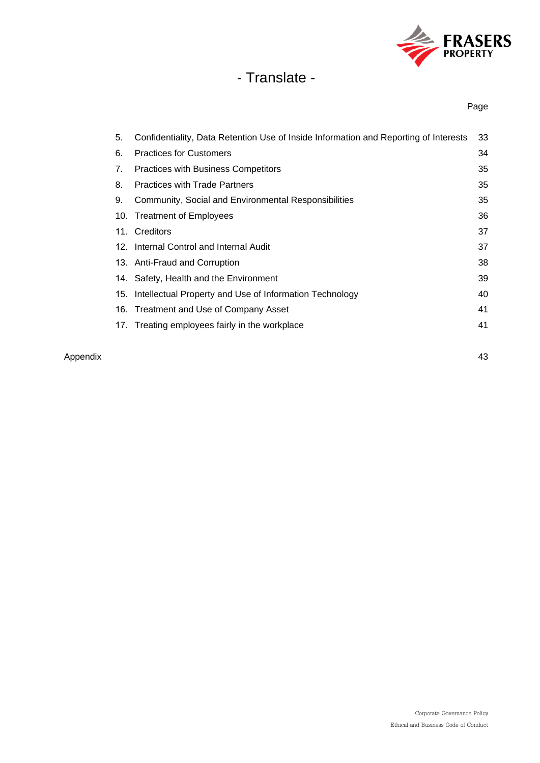

Page

| 5. | Confidentiality, Data Retention Use of Inside Information and Reporting of Interests | 33 |
|----|--------------------------------------------------------------------------------------|----|
| 6. | <b>Practices for Customers</b>                                                       | 34 |
| 7. | <b>Practices with Business Competitors</b>                                           | 35 |
| 8. | <b>Practices with Trade Partners</b>                                                 | 35 |
| 9. | Community, Social and Environmental Responsibilities                                 | 35 |
|    | 10. Treatment of Employees                                                           | 36 |
|    | 11. Creditors                                                                        | 37 |
|    | 12. Internal Control and Internal Audit                                              | 37 |
|    | 13. Anti-Fraud and Corruption                                                        | 38 |
|    | 14. Safety, Health and the Environment                                               | 39 |
|    | 15. Intellectual Property and Use of Information Technology                          | 40 |
|    | 16. Treatment and Use of Company Asset                                               | 41 |
|    | 17. Treating employees fairly in the workplace                                       | 41 |
|    |                                                                                      |    |

#### Appendix 43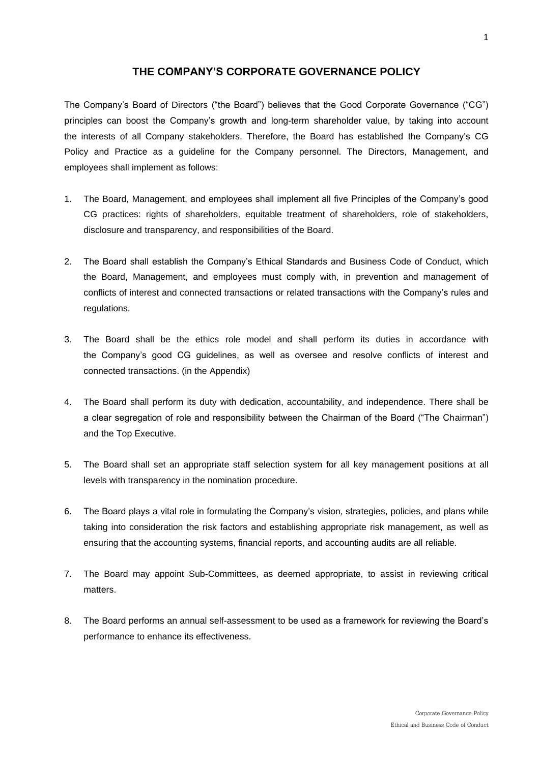### **THE COMPANY'S CORPORATE GOVERNANCE POLICY**

The Company's Board of Directors ("the Board") believes that the Good Corporate Governance ("CG") principles can boost the Company's growth and long-term shareholder value, by taking into account the interests of all Company stakeholders. Therefore, the Board has established the Company's CG Policy and Practice as a guideline for the Company personnel. The Directors, Management, and employees shall implement as follows:

- 1. The Board, Management, and employees shall implement all five Principles of the Company's good CG practices: rights of shareholders, equitable treatment of shareholders, role of stakeholders, disclosure and transparency, and responsibilities of the Board.
- 2. The Board shall establish the Company's Ethical Standards and Business Code of Conduct, which the Board, Management, and employees must comply with, in prevention and management of conflicts of interest and connected transactions or related transactions with the Company's rules and regulations.
- 3. The Board shall be the ethics role model and shall perform its duties in accordance with the Company's good CG guidelines, as well as oversee and resolve conflicts of interest and connected transactions. (in the Appendix)
- 4. The Board shall perform its duty with dedication, accountability, and independence. There shall be a clear segregation of role and responsibility between the Chairman of the Board ("The Chairman") and the Top Executive.
- 5. The Board shall set an appropriate staff selection system for all key management positions at all levels with transparency in the nomination procedure.
- 6. The Board plays a vital role in formulating the Company's vision, strategies, policies, and plans while taking into consideration the risk factors and establishing appropriate risk management, as well as ensuring that the accounting systems, financial reports, and accounting audits are all reliable.
- 7. The Board may appoint Sub-Committees, as deemed appropriate, to assist in reviewing critical matters.
- 8. The Board performs an annual self-assessment to be used as a framework for reviewing the Board's performance to enhance its effectiveness.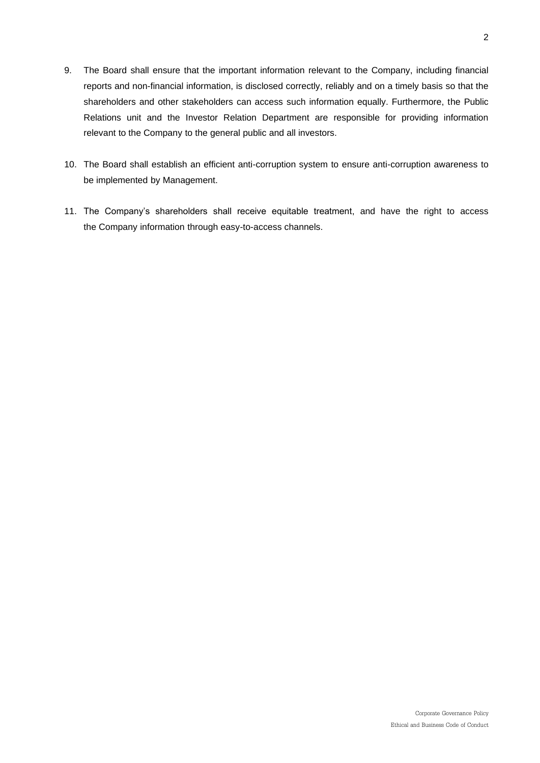- 9. The Board shall ensure that the important information relevant to the Company, including financial reports and non-financial information, is disclosed correctly, reliably and on a timely basis so that the shareholders and other stakeholders can access such information equally. Furthermore, the Public Relations unit and the Investor Relation Department are responsible for providing information relevant to the Company to the general public and all investors.
- 10. The Board shall establish an efficient anti-corruption system to ensure anti-corruption awareness to be implemented by Management.
- 11. The Company's shareholders shall receive equitable treatment, and have the right to access the Company information through easy-to-access channels.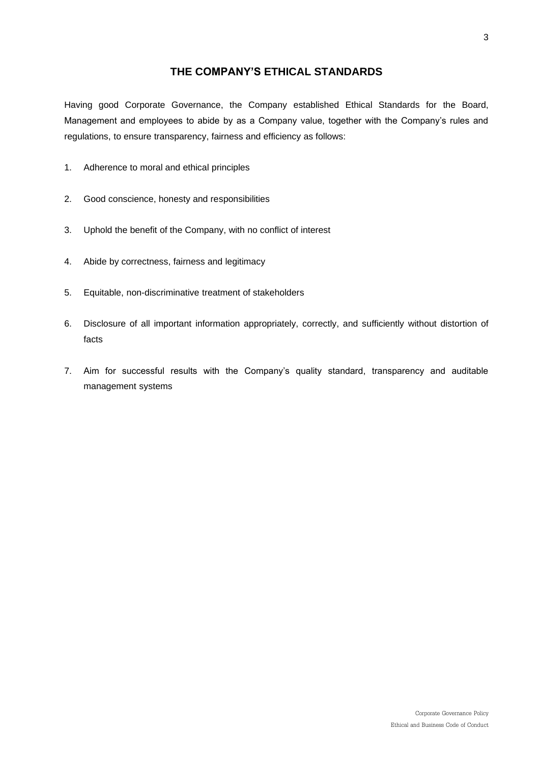## **THE COMPANY'S ETHICAL STANDARDS**

Having good Corporate Governance, the Company established Ethical Standards for the Board, Management and employees to abide by as a Company value, together with the Company's rules and regulations, to ensure transparency, fairness and efficiency as follows:

- 1. Adherence to moral and ethical principles
- 2. Good conscience, honesty and responsibilities
- 3. Uphold the benefit of the Company, with no conflict of interest
- 4. Abide by correctness, fairness and legitimacy
- 5. Equitable, non-discriminative treatment of stakeholders
- 6. Disclosure of all important information appropriately, correctly, and sufficiently without distortion of facts
- 7. Aim for successful results with the Company's quality standard, transparency and auditable management systems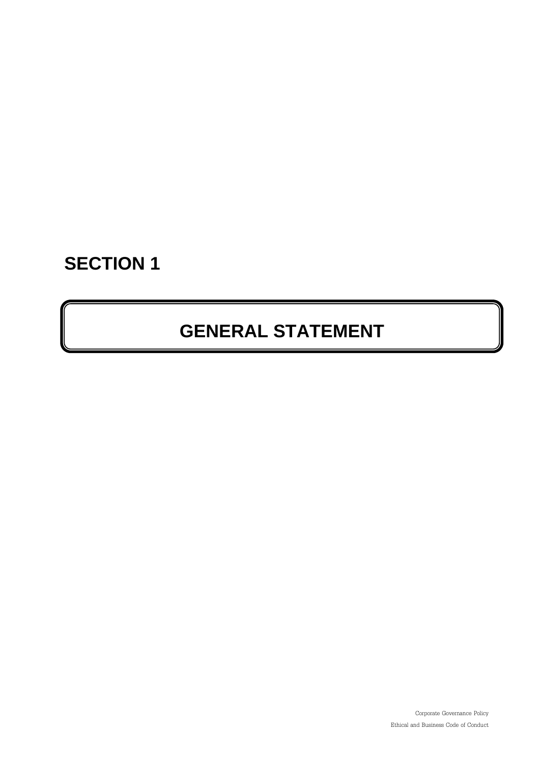# **SECTION 1**

# **GENERAL STATEMENT**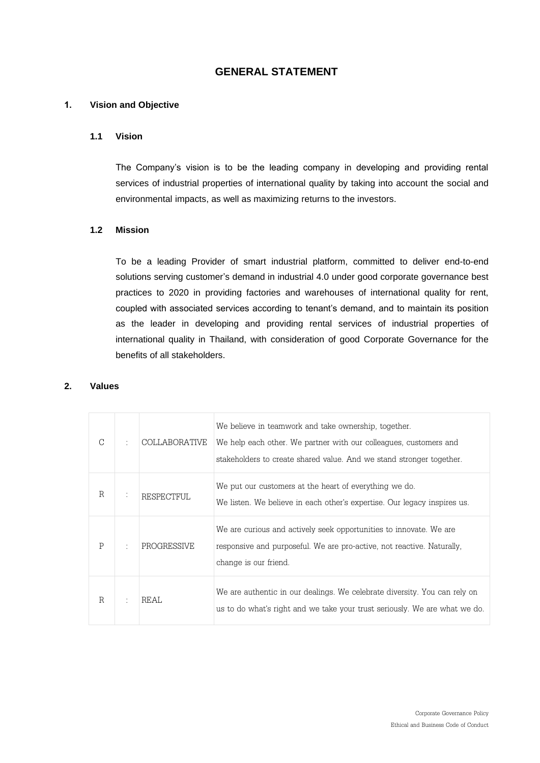## **GENERAL STATEMENT**

#### **1. Vision and Objective**

#### **1.1 Vision**

The Company's vision is to be the leading company in developing and providing rental services of industrial properties of international quality by taking into account the social and environmental impacts, as well as maximizing returns to the investors.

#### **1.2 Mission**

To be a leading Provider of smart industrial platform, committed to deliver end-to-end solutions serving customer's demand in industrial 4.0 under good corporate governance best practices to 2020 in providing factories and warehouses of international quality for rent, coupled with associated services according to tenant's demand, and to maintain its position as the leader in developing and providing rental services of industrial properties of international quality in Thailand, with consideration of good Corporate Governance for the benefits of all stakeholders.

#### **2. Values**

| $\bigcap$ | <b>COLLABORATIVE</b> | We believe in teamwork and take ownership, together.<br>We help each other. We partner with our colleagues, customers and<br>stakeholders to create shared value. And we stand stronger together. |
|-----------|----------------------|---------------------------------------------------------------------------------------------------------------------------------------------------------------------------------------------------|
| R         | RESPECTFUL           | We put our customers at the heart of everything we do.<br>We listen. We believe in each other's expertise. Our legacy inspires us.                                                                |
| P         | <b>PROGRESSIVE</b>   | We are curious and actively seek opportunities to innovate. We are<br>responsive and purposeful. We are pro-active, not reactive. Naturally,<br>change is our friend.                             |
| R         | <b>REAL</b>          | We are authentic in our dealings. We celebrate diversity. You can rely on<br>us to do what's right and we take your trust seriously. We are what we do.                                           |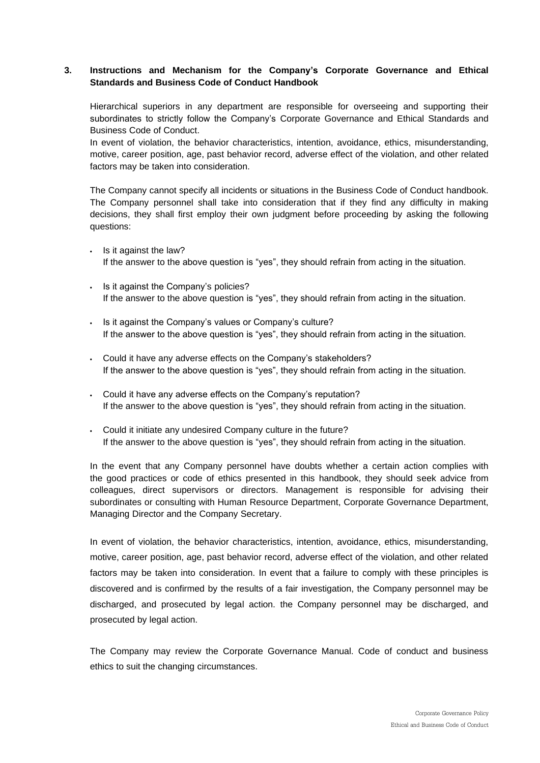#### **3. Instructions and Mechanism for the Company's Corporate Governance and Ethical Standards and Business Code of Conduct Handbook**

Hierarchical superiors in any department are responsible for overseeing and supporting their subordinates to strictly follow the Company's Corporate Governance and Ethical Standards and Business Code of Conduct.

In event of violation, the behavior characteristics, intention, avoidance, ethics, misunderstanding, motive, career position, age, past behavior record, adverse effect of the violation, and other related factors may be taken into consideration.

The Company cannot specify all incidents or situations in the Business Code of Conduct handbook. The Company personnel shall take into consideration that if they find any difficulty in making decisions, they shall first employ their own judgment before proceeding by asking the following questions:

- Is it against the law? If the answer to the above question is "yes", they should refrain from acting in the situation.
- Is it against the Company's policies? If the answer to the above question is "yes", they should refrain from acting in the situation.
- Is it against the Company's values or Company's culture? If the answer to the above question is "yes", they should refrain from acting in the situation.
- Could it have any adverse effects on the Company's stakeholders? If the answer to the above question is "yes", they should refrain from acting in the situation.
- Could it have any adverse effects on the Company's reputation? If the answer to the above question is "yes", they should refrain from acting in the situation.
- Could it initiate any undesired Company culture in the future? If the answer to the above question is "yes", they should refrain from acting in the situation.

In the event that any Company personnel have doubts whether a certain action complies with the good practices or code of ethics presented in this handbook, they should seek advice from colleagues, direct supervisors or directors. Management is responsible for advising their subordinates or consulting with Human Resource Department, Corporate Governance Department, Managing Director and the Company Secretary.

In event of violation, the behavior characteristics, intention, avoidance, ethics, misunderstanding, motive, career position, age, past behavior record, adverse effect of the violation, and other related factors may be taken into consideration. In event that a failure to comply with these principles is discovered and is confirmed by the results of a fair investigation, the Company personnel may be discharged, and prosecuted by legal action. the Company personnel may be discharged, and prosecuted by legal action.

The Company may review the Corporate Governance Manual. Code of conduct and business ethics to suit the changing circumstances.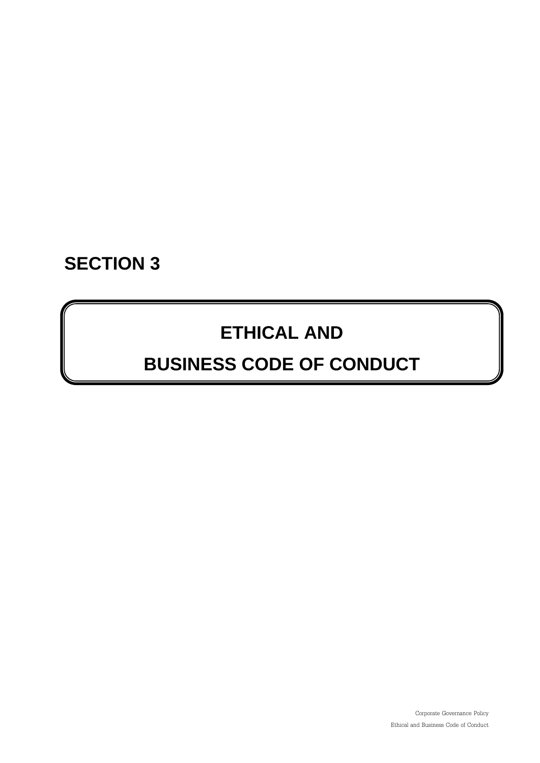# **SECTION 3**

# **ETHICAL AND**

# **BUSINESS CODE OF CONDUCT**

Corporate Governance Policy Ethical and Business Code of Conduct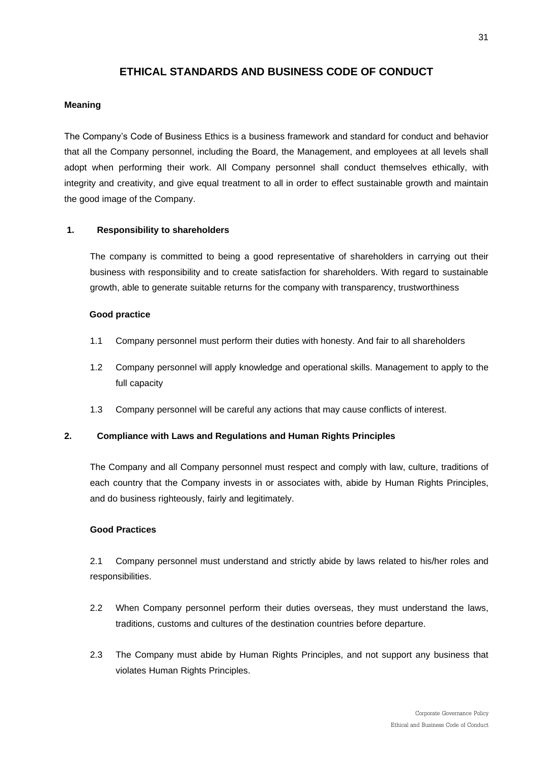## **ETHICAL STANDARDS AND BUSINESS CODE OF CONDUCT**

#### **Meaning**

The Company's Code of Business Ethics is a business framework and standard for conduct and behavior that all the Company personnel, including the Board, the Management, and employees at all levels shall adopt when performing their work. All Company personnel shall conduct themselves ethically, with integrity and creativity, and give equal treatment to all in order to effect sustainable growth and maintain the good image of the Company.

#### **1. Responsibility to shareholders**

The company is committed to being a good representative of shareholders in carrying out their business with responsibility and to create satisfaction for shareholders. With regard to sustainable growth, able to generate suitable returns for the company with transparency, trustworthiness

#### **Good practice**

- 1.1 Company personnel must perform their duties with honesty. And fair to all shareholders
- 1.2 Company personnel will apply knowledge and operational skills. Management to apply to the full capacity
- 1.3 Company personnel will be careful any actions that may cause conflicts of interest.

#### **2. Compliance with Laws and Regulations and Human Rights Principles**

The Company and all Company personnel must respect and comply with law, culture, traditions of each country that the Company invests in or associates with, abide by Human Rights Principles, and do business righteously, fairly and legitimately.

#### **Good Practices**

2.1 Company personnel must understand and strictly abide by laws related to his/her roles and responsibilities.

- 2.2 When Company personnel perform their duties overseas, they must understand the laws, traditions, customs and cultures of the destination countries before departure.
- 2.3 The Company must abide by Human Rights Principles, and not support any business that violates Human Rights Principles.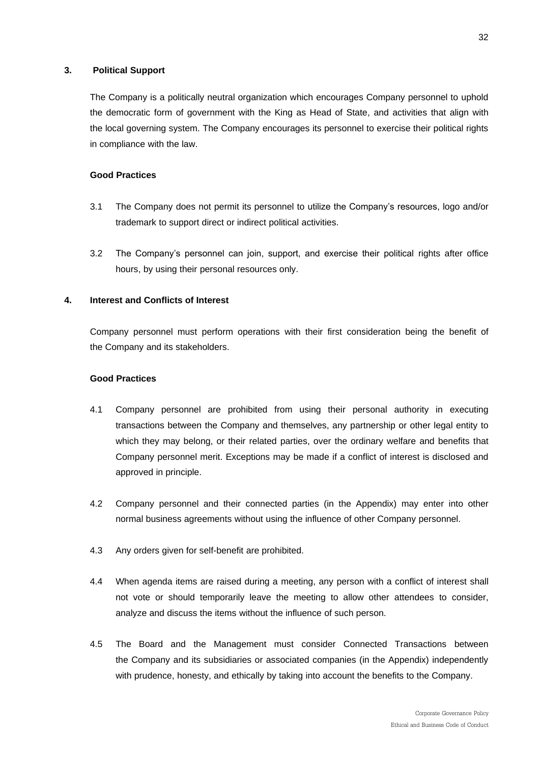#### **3. Political Support**

The Company is a politically neutral organization which encourages Company personnel to uphold the [democratic form of government with the King as Head of State,](https://www.google.co.th/url?sa=t&rct=j&q=&esrc=s&frm=1&source=web&cd=3&ved=0CCoQFjAC&url=https%3A%2F%2Fwww.facebook.com%2Fpages%2Fdemocratic-form-of-government-with-the-King-as-Head-of-State%2F240273839335786&ei=8DZLVYm2F5KiugSaxICABA&usg=AFQjCNFfWOm4C3H4yWzl--uXmzZkTPwcEw&bvm=bv.92765956,d.c2E) and activities that align with the local governing system. The Company encourages its personnel to exercise their political rights in compliance with the law.

#### **Good Practices**

- 3.1 The Company does not permit its personnel to utilize the Company's resources, logo and/or trademark to support direct or indirect political activities.
- 3.2 The Company's personnel can join, support, and exercise their political rights after office hours, by using their personal resources only.

#### **4. Interest and Conflicts of Interest**

Company personnel must perform operations with their first consideration being the benefit of the Company and its stakeholders.

- 4.1 Company personnel are prohibited from using their personal authority in executing transactions between the Company and themselves, any partnership or other legal entity to which they may belong, or their related parties, over the ordinary welfare and benefits that Company personnel merit. Exceptions may be made if a conflict of interest is disclosed and approved in principle.
- 4.2 Company personnel and their connected parties (in the Appendix) may enter into other normal business agreements without using the influence of other Company personnel.
- 4.3 Any orders given for self-benefit are prohibited.
- 4.4 When agenda items are raised during a meeting, any person with a conflict of interest shall not vote or should temporarily leave the meeting to allow other attendees to consider, analyze and discuss the items without the influence of such person.
- 4.5 The Board and the Management must consider Connected Transactions between the Company and its subsidiaries or associated companies (in the Appendix) independently with prudence, honesty, and ethically by taking into account the benefits to the Company.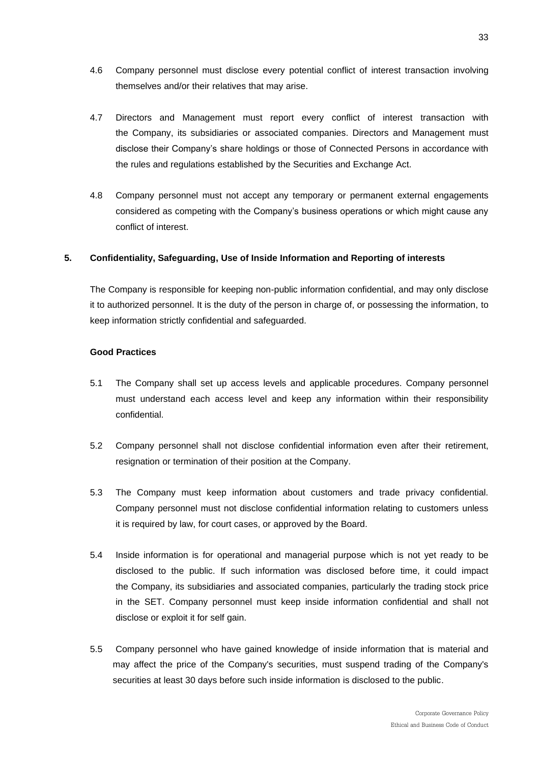- 4.6 Company personnel must disclose every potential conflict of interest transaction involving themselves and/or their relatives that may arise.
- 4.7 Directors and Management must report every conflict of interest transaction with the Company, its subsidiaries or associated companies. Directors and Management must disclose their Company's share holdings or those of Connected Persons in accordance with the rules and regulations established by the Securities and Exchange Act.
- 4.8 Company personnel must not accept any temporary or permanent external engagements considered as competing with the Company's business operations or which might cause any conflict of interest.

#### **5. Confidentiality, Safeguarding, Use of Inside Information and Reporting of interests**

The Company is responsible for keeping non-public information confidential, and may only disclose it to authorized personnel. It is the duty of the person in charge of, or possessing the information, to keep information strictly confidential and safeguarded.

- 5.1 The Company shall set up access levels and applicable procedures. Company personnel must understand each access level and keep any information within their responsibility confidential.
- 5.2 Company personnel shall not disclose confidential information even after their retirement, resignation or termination of their position at the Company.
- 5.3 The Company must keep information about customers and trade privacy confidential. Company personnel must not disclose confidential information relating to customers unless it is required by law, for court cases, or approved by the Board.
- 5.4 Inside information is for operational and managerial purpose which is not yet ready to be disclosed to the public. If such information was disclosed before time, it could impact the Company, its subsidiaries and associated companies, particularly the trading stock price in the SET. Company personnel must keep inside information confidential and shall not disclose or exploit it for self gain.
- 5.5 Company personnel who have gained knowledge of inside information that is material and may affect the price of the Company's securities, must suspend trading of the Company's securities at least 30 days before such inside information is disclosed to the public.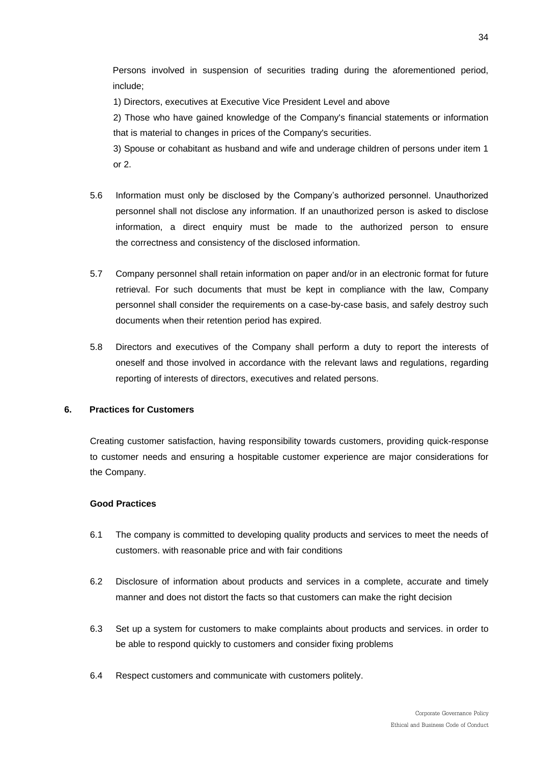Persons involved in suspension of securities trading during the aforementioned period, include;

1) Directors, executives at Executive Vice President Level and above

2) Those who have gained knowledge of the Company's financial statements or information that is material to changes in prices of the Company's securities.

3) Spouse or cohabitant as husband and wife and underage children of persons under item 1 or 2.

- 5.6 Information must only be disclosed by the Company's authorized personnel. Unauthorized personnel shall not disclose any information. If an unauthorized person is asked to disclose information, a direct enquiry must be made to the authorized person to ensure the correctness and consistency of the disclosed information.
- 5.7 Company personnel shall retain information on paper and/or in an electronic format for future retrieval. For such documents that must be kept in compliance with the law, Company personnel shall consider the requirements on a case-by-case basis, and safely destroy such documents when their retention period has expired.
- 5.8 Directors and executives of the Company shall perform a duty to report the interests of oneself and those involved in accordance with the relevant laws and regulations, regarding reporting of interests of directors, executives and related persons.

#### **6. Practices for Customers**

Creating customer satisfaction, having responsibility towards customers, providing quick-response to customer needs and ensuring a hospitable customer experience are major considerations for the Company.

- 6.1 The company is committed to developing quality products and services to meet the needs of customers. with reasonable price and with fair conditions
- 6.2 Disclosure of information about products and services in a complete, accurate and timely manner and does not distort the facts so that customers can make the right decision
- 6.3 Set up a system for customers to make complaints about products and services. in order to be able to respond quickly to customers and consider fixing problems
- 6.4 Respect customers and communicate with customers politely.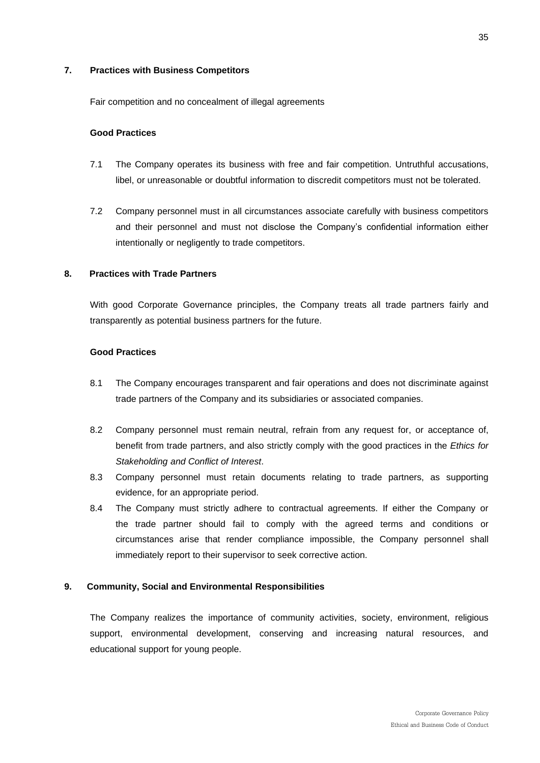#### **7. Practices with Business Competitors**

Fair competition and no concealment of illegal agreements

#### **Good Practices**

- 7.1 The Company operates its business with free and fair competition. Untruthful accusations, libel, or unreasonable or doubtful information to discredit competitors must not be tolerated.
- 7.2 Company personnel must in all circumstances associate carefully with business competitors and their personnel and must not disclose the Company's confidential information either intentionally or negligently to trade competitors.

#### **8. Practices with Trade Partners**

With good Corporate Governance principles, the Company treats all trade partners fairly and transparently as potential business partners for the future.

#### **Good Practices**

- 8.1 The Company encourages transparent and fair operations and does not discriminate against trade partners of the Company and its subsidiaries or associated companies.
- 8.2 Company personnel must remain neutral, refrain from any request for, or acceptance of, benefit from trade partners, and also strictly comply with the good practices in the *Ethics for Stakeholding and Conflict of Interest*.
- 8.3 Company personnel must retain documents relating to trade partners, as supporting evidence, for an appropriate period.
- 8.4 The Company must strictly adhere to contractual agreements. If either the Company or the trade partner should fail to comply with the agreed terms and conditions or circumstances arise that render compliance impossible, the Company personnel shall immediately report to their supervisor to seek corrective action.

#### **9. Community, Social and Environmental Responsibilities**

The Company realizes the importance of community activities, society, environment, religious support, environmental development, conserving and increasing natural resources, and educational support for young people.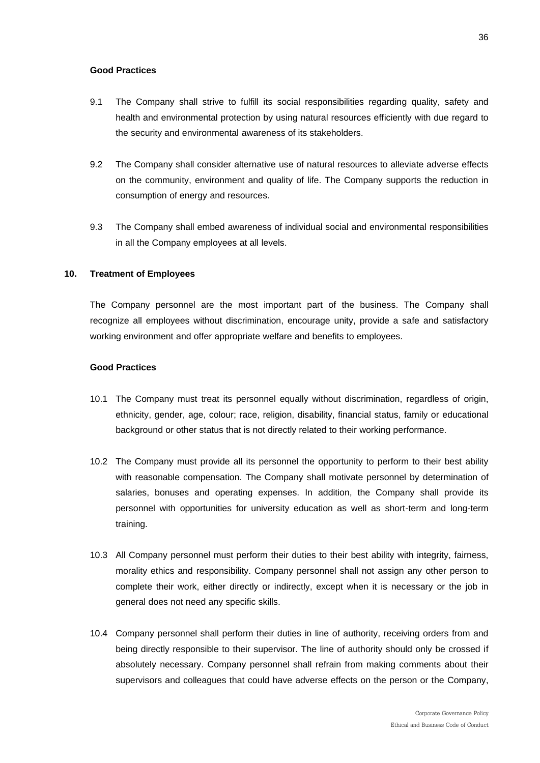#### **Good Practices**

- 9.1 The Company shall strive to fulfill its social responsibilities regarding quality, safety and health and environmental protection by using natural resources efficiently with due regard to the security and environmental awareness of its stakeholders.
- 9.2 The Company shall consider alternative use of natural resources to alleviate adverse effects on the community, environment and quality of life. The Company supports the reduction in consumption of energy and resources.
- 9.3 The Company shall embed awareness of individual social and environmental responsibilities in all the Company employees at all levels.

#### **10. Treatment of Employees**

The Company personnel are the most important part of the business. The Company shall recognize all employees without discrimination, encourage unity, provide a safe and satisfactory working environment and offer appropriate welfare and benefits to employees.

- 10.1 The Company must treat its personnel equally without discrimination, regardless of origin, ethnicity, gender, age, colour; race, religion, disability, financial status, family or educational background or other status that is not directly related to their working performance.
- 10.2 The Company must provide all its personnel the opportunity to perform to their best ability with reasonable compensation. The Company shall motivate personnel by determination of salaries, bonuses and operating expenses. In addition, the Company shall provide its personnel with opportunities for university education as well as short-term and long-term training.
- 10.3 All Company personnel must perform their duties to their best ability with integrity, fairness, morality ethics and responsibility. Company personnel shall not assign any other person to complete their work, either directly or indirectly, except when it is necessary or the job in general does not need any specific skills.
- 10.4 Company personnel shall perform their duties in line of authority, receiving orders from and being directly responsible to their supervisor. The line of authority should only be crossed if absolutely necessary. Company personnel shall refrain from making comments about their supervisors and colleagues that could have adverse effects on the person or the Company,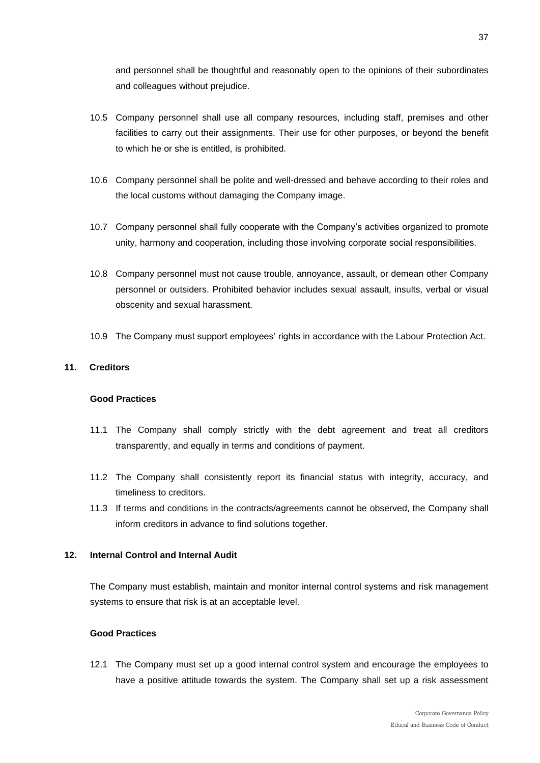and personnel shall be thoughtful and reasonably open to the opinions of their subordinates and colleagues without prejudice.

- 10.5 Company personnel shall use all company resources, including staff, premises and other facilities to carry out their assignments. Their use for other purposes, or beyond the benefit to which he or she is entitled, is prohibited.
- 10.6 Company personnel shall be polite and well-dressed and behave according to their roles and the local customs without damaging the Company image.
- 10.7 Company personnel shall fully cooperate with the Company's activities organized to promote unity, harmony and cooperation, including those involving corporate social responsibilities.
- 10.8 Company personnel must not cause trouble, annoyance, assault, or demean other Company personnel or outsiders. Prohibited behavior includes sexual assault, insults, verbal or visual obscenity and sexual harassment.
- 10.9 The Company must support employees' rights in accordance with the Labour Protection Act.

#### **11. Creditors**

#### **Good Practices**

- 11.1 The Company shall comply strictly with the debt agreement and treat all creditors transparently, and equally in terms and conditions of payment.
- 11.2 The Company shall consistently report its financial status with integrity, accuracy, and timeliness to creditors.
- 11.3 If terms and conditions in the contracts/agreements cannot be observed, the Company shall inform creditors in advance to find solutions together.

#### **12. Internal Control and Internal Audit**

The Company must establish, maintain and monitor internal control systems and risk management systems to ensure that risk is at an acceptable level.

#### **Good Practices**

12.1 The Company must set up a good internal control system and encourage the employees to have a positive attitude towards the system. The Company shall set up a risk assessment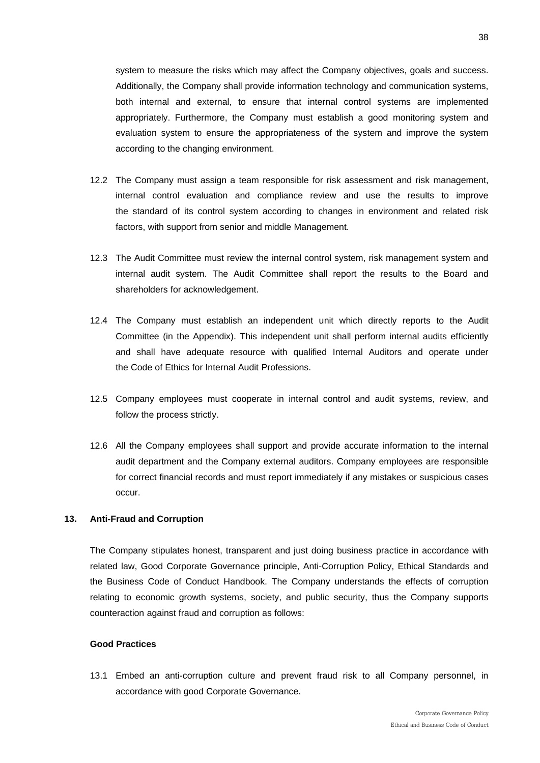system to measure the risks which may affect the Company objectives, goals and success. Additionally, the Company shall provide information technology and communication systems, both internal and external, to ensure that internal control systems are implemented appropriately. Furthermore, the Company must establish a good monitoring system and evaluation system to ensure the appropriateness of the system and improve the system according to the changing environment.

- 12.2 The Company must assign a team responsible for risk assessment and risk management, internal control evaluation and compliance review and use the results to improve the standard of its control system according to changes in environment and related risk factors, with support from senior and middle Management.
- 12.3 The Audit Committee must review the internal control system, risk management system and internal audit system. The Audit Committee shall report the results to the Board and shareholders for acknowledgement.
- 12.4 The Company must establish an independent unit which directly reports to the Audit Committee (in the Appendix). This independent unit shall perform internal audits efficiently and shall have adequate resource with qualified Internal Auditors and operate under the Code of Ethics for Internal Audit Professions.
- 12.5 Company employees must cooperate in internal control and audit systems, review, and follow the process strictly.
- 12.6 All the Company employees shall support and provide accurate information to the internal audit department and the Company external auditors. Company employees are responsible for correct financial records and must report immediately if any mistakes or suspicious cases occur.

#### **13. Anti-Fraud and Corruption**

The Company stipulates honest, transparent and just doing business practice in accordance with related law, Good Corporate Governance principle, Anti-Corruption Policy, Ethical Standards and the Business Code of Conduct Handbook. The Company understands the effects of corruption relating to economic growth systems, society, and public security, thus the Company supports counteraction against fraud and corruption as follows:

#### **Good Practices**

13.1 Embed an anti-corruption culture and prevent fraud risk to all Company personnel, in accordance with good Corporate Governance.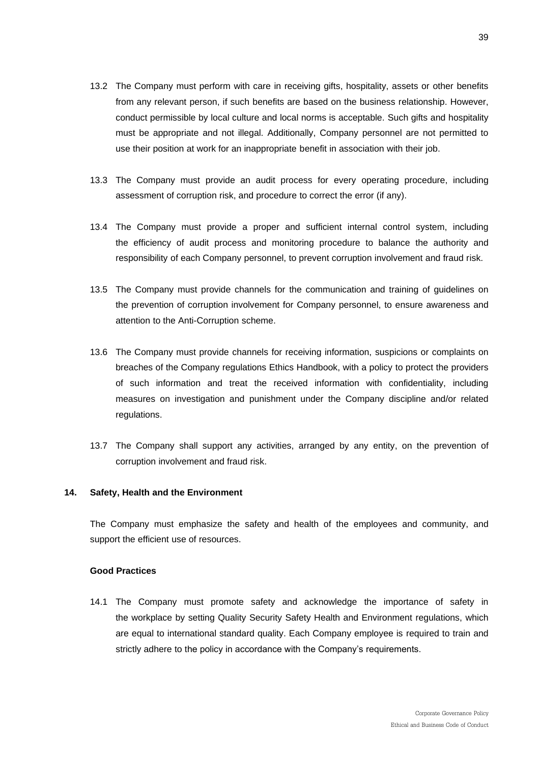- 13.2 The Company must perform with care in receiving gifts, hospitality, assets or other benefits from any relevant person, if such benefits are based on the business relationship. However, conduct permissible by local culture and local norms is acceptable. Such gifts and hospitality must be appropriate and not illegal. Additionally, Company personnel are not permitted to use their position at work for an inappropriate benefit in association with their job.
- 13.3 The Company must provide an audit process for every operating procedure, including assessment of corruption risk, and procedure to correct the error (if any).
- 13.4 The Company must provide a proper and sufficient internal control system, including the efficiency of audit process and monitoring procedure to balance the authority and responsibility of each Company personnel, to prevent corruption involvement and fraud risk.
- 13.5 The Company must provide channels for the communication and training of guidelines on the prevention of corruption involvement for Company personnel, to ensure awareness and attention to the Anti-Corruption scheme.
- 13.6 The Company must provide channels for receiving information, suspicions or complaints on breaches of the Company regulations Ethics Handbook, with a policy to protect the providers of such information and treat the received information with confidentiality, including measures on investigation and punishment under the Company discipline and/or related regulations.
- 13.7 The Company shall support any activities, arranged by any entity, on the prevention of corruption involvement and fraud risk.

#### **14. Safety, Health and the Environment**

The Company must emphasize the safety and health of the employees and community, and support the efficient use of resources.

#### **Good Practices**

14.1 The Company must promote safety and acknowledge the importance of safety in the workplace by setting Quality Security Safety Health and Environment regulations, which are equal to international standard quality. Each Company employee is required to train and strictly adhere to the policy in accordance with the Company's requirements.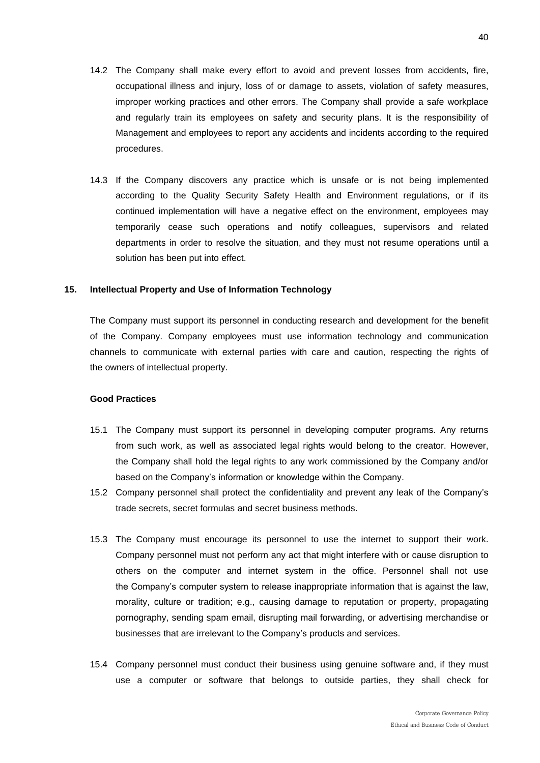- 14.2 The Company shall make every effort to avoid and prevent losses from accidents, fire, occupational illness and injury, loss of or damage to assets, violation of safety measures, improper working practices and other errors. The Company shall provide a safe workplace and regularly train its employees on safety and security plans. It is the responsibility of Management and employees to report any accidents and incidents according to the required procedures.
- 14.3 If the Company discovers any practice which is unsafe or is not being implemented according to the Quality Security Safety Health and Environment regulations, or if its continued implementation will have a negative effect on the environment, employees may temporarily cease such operations and notify colleagues, supervisors and related departments in order to resolve the situation, and they must not resume operations until a solution has been put into effect.

#### **15. Intellectual Property and Use of Information Technology**

The Company must support its personnel in conducting research and development for the benefit of the Company. Company employees must use information technology and communication channels to communicate with external parties with care and caution, respecting the rights of the owners of intellectual property.

- 15.1 The Company must support its personnel in developing computer programs. Any returns from such work, as well as associated legal rights would belong to the creator. However, the Company shall hold the legal rights to any work commissioned by the Company and/or based on the Company's information or knowledge within the Company.
- 15.2 Company personnel shall protect the confidentiality and prevent any leak of the Company's trade secrets, secret formulas and secret business methods.
- 15.3 The Company must encourage its personnel to use the internet to support their work. Company personnel must not perform any act that might interfere with or cause disruption to others on the computer and internet system in the office. Personnel shall not use the Company's computer system to release inappropriate information that is against the law, morality, culture or tradition; e.g., causing damage to reputation or property, propagating pornography, sending spam email, disrupting mail forwarding, or advertising merchandise or businesses that are irrelevant to the Company's products and services.
- 15.4 Company personnel must conduct their business using genuine software and, if they must use a computer or software that belongs to outside parties, they shall check for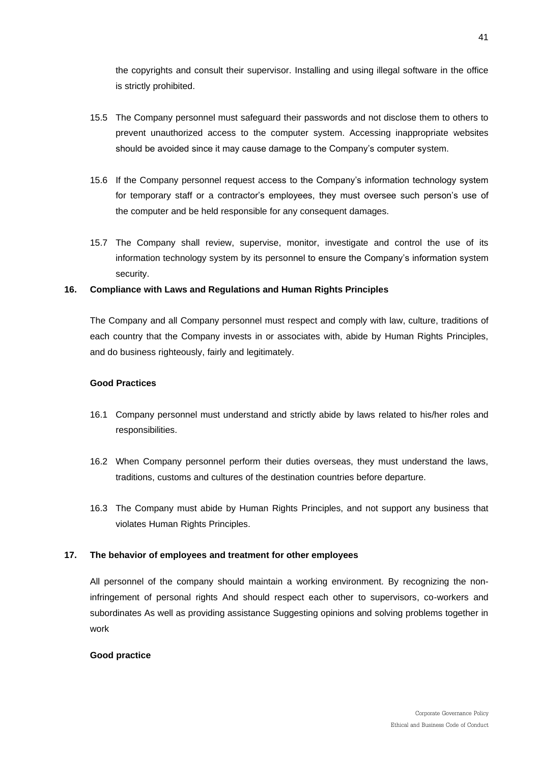the copyrights and consult their supervisor. Installing and using illegal software in the office is strictly prohibited.

- 15.5 The Company personnel must safeguard their passwords and not disclose them to others to prevent unauthorized access to the computer system. Accessing inappropriate websites should be avoided since it may cause damage to the Company's computer system.
- 15.6 If the Company personnel request access to the Company's information technology system for temporary staff or a contractor's employees, they must oversee such person's use of the computer and be held responsible for any consequent damages.
- 15.7 The Company shall review, supervise, monitor, investigate and control the use of its information technology system by its personnel to ensure the Company's information system security.

#### **16. Compliance with Laws and Regulations and Human Rights Principles**

The Company and all Company personnel must respect and comply with law, culture, traditions of each country that the Company invests in or associates with, abide by Human Rights Principles, and do business righteously, fairly and legitimately.

#### **Good Practices**

- 16.1 Company personnel must understand and strictly abide by laws related to his/her roles and responsibilities.
- 16.2 When Company personnel perform their duties overseas, they must understand the laws, traditions, customs and cultures of the destination countries before departure.
- 16.3 The Company must abide by Human Rights Principles, and not support any business that violates Human Rights Principles.

#### **17. The behavior of employees and treatment for other employees**

All personnel of the company should maintain a working environment. By recognizing the noninfringement of personal rights And should respect each other to supervisors, co-workers and subordinates As well as providing assistance Suggesting opinions and solving problems together in work

#### **Good practice**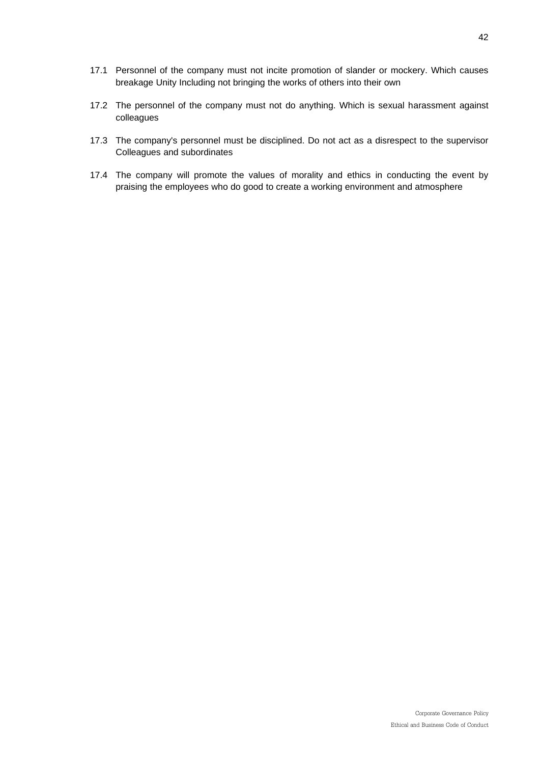- 17.1 Personnel of the company must not incite promotion of slander or mockery. Which causes breakage Unity Including not bringing the works of others into their own
- 17.2 The personnel of the company must not do anything. Which is sexual harassment against colleagues
- 17.3 The company's personnel must be disciplined. Do not act as a disrespect to the supervisor Colleagues and subordinates
- 17.4 The company will promote the values of morality and ethics in conducting the event by praising the employees who do good to create a working environment and atmosphere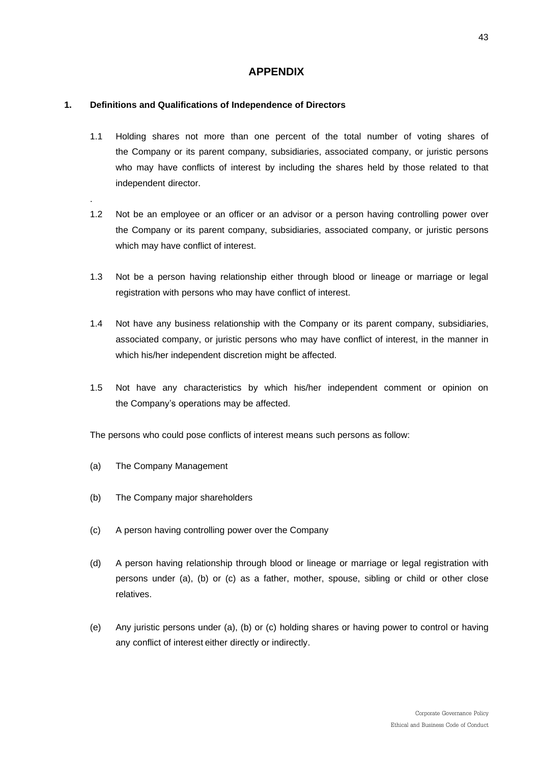### **APPENDIX**

#### **1. Definitions and Qualifications of Independence of Directors**

- 1.1 Holding shares not more than one percent of the total number of voting shares of the Company or its parent company, subsidiaries, associated company, or juristic persons who may have conflicts of interest by including the shares held by those related to that independent director.
- 1.2 Not be an employee or an officer or an advisor or a person having controlling power over the Company or its parent company, subsidiaries, associated company, or juristic persons which may have conflict of interest.
- 1.3 Not be a person having relationship either through blood or lineage or marriage or legal registration with persons who may have conflict of interest.
- 1.4 Not have any business relationship with the Company or its parent company, subsidiaries, associated company, or juristic persons who may have conflict of interest, in the manner in which his/her independent discretion might be affected.
- 1.5 Not have any characteristics by which his/her independent comment or opinion on the Company's operations may be affected.

The persons who could pose conflicts of interest means such persons as follow:

(a) The Company Management

.

- (b) The Company major shareholders
- (c) A person having controlling power over the Company
- (d) A person having relationship through blood or lineage or marriage or legal registration with persons under (a), (b) or (c) as a father, mother, spouse, sibling or child or other close relatives.
- (e) Any juristic persons under (a), (b) or (c) holding shares or having power to control or having any conflict of interest either directly or indirectly.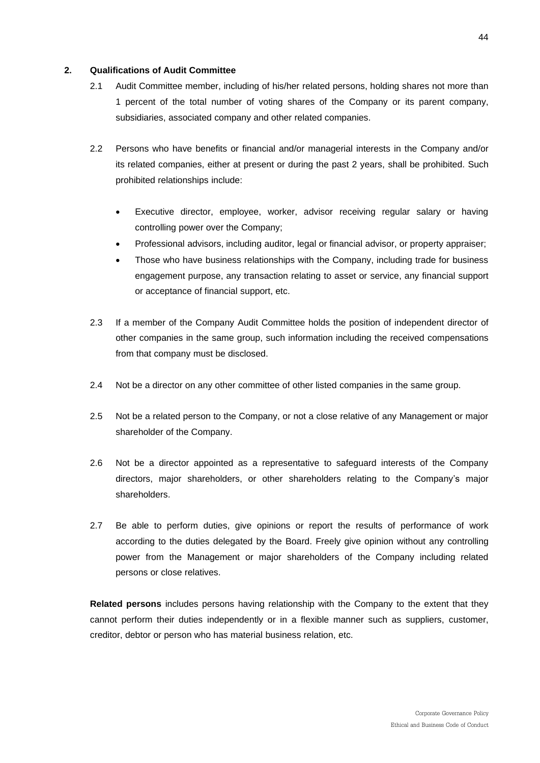#### **2. Qualifications of Audit Committee**

- 2.1 Audit Committee member, including of his/her related persons, holding shares not more than 1 percent of the total number of voting shares of the Company or its parent company, subsidiaries, associated company and other related companies.
- 2.2 Persons who have benefits or financial and/or managerial interests in the Company and/or its related companies, either at present or during the past 2 years, shall be prohibited. Such prohibited relationships include:
	- Executive director, employee, worker, advisor receiving regular salary or having controlling power over the Company;
	- Professional advisors, including auditor, legal or financial advisor, or property appraiser;
	- Those who have business relationships with the Company, including trade for business engagement purpose, any transaction relating to asset or service, any financial support or acceptance of financial support, etc.
- 2.3 If a member of the Company Audit Committee holds the position of independent director of other companies in the same group, such information including the received compensations from that company must be disclosed.
- 2.4 Not be a director on any other committee of other listed companies in the same group.
- 2.5 Not be a related person to the Company, or not a close relative of any Management or major shareholder of the Company.
- 2.6 Not be a director appointed as a representative to safeguard interests of the Company directors, major shareholders, or other shareholders relating to the Company's major shareholders.
- 2.7 Be able to perform duties, give opinions or report the results of performance of work according to the duties delegated by the Board. Freely give opinion without any controlling power from the Management or major shareholders of the Company including related persons or close relatives.

**Related persons** includes persons having relationship with the Company to the extent that they cannot perform their duties independently or in a flexible manner such as suppliers, customer, creditor, debtor or person who has material business relation, etc.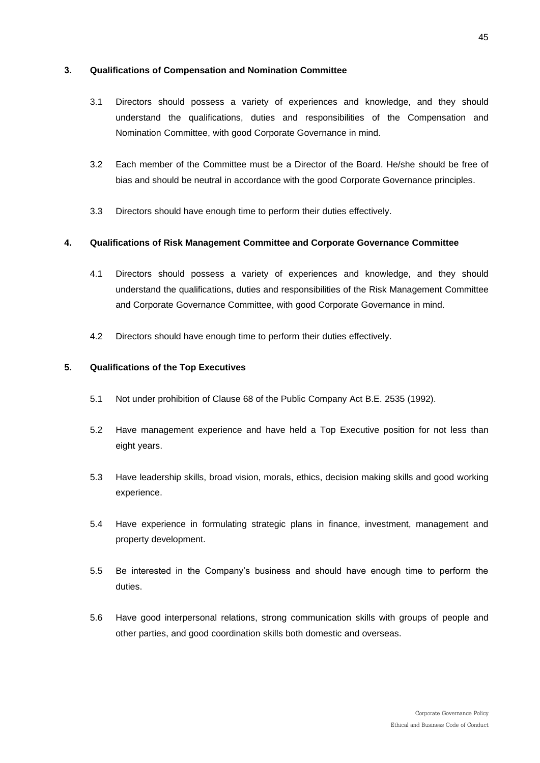#### **3. Qualifications of Compensation and Nomination Committee**

- 3.1 Directors should possess a variety of experiences and knowledge, and they should understand the qualifications, duties and responsibilities of the Compensation and Nomination Committee, with good Corporate Governance in mind.
- 3.2 Each member of the Committee must be a Director of the Board. He/she should be free of bias and should be neutral in accordance with the good Corporate Governance principles.
- 3.3 Directors should have enough time to perform their duties effectively.

#### **4. Qualifications of Risk Management Committee and Corporate Governance Committee**

- 4.1 Directors should possess a variety of experiences and knowledge, and they should understand the qualifications, duties and responsibilities of the Risk Management Committee and Corporate Governance Committee, with good Corporate Governance in mind.
- 4.2 Directors should have enough time to perform their duties effectively.

#### **5. Qualifications of the Top Executives**

- 5.1 Not under prohibition of Clause 68 of the Public Company Act B.E. 2535 (1992).
- 5.2 Have management experience and have held a Top Executive position for not less than eight years.
- 5.3 Have leadership skills, broad vision, morals, ethics, decision making skills and good working experience.
- 5.4 Have experience in formulating strategic plans in finance, investment, management and property development.
- 5.5 Be interested in the Company's business and should have enough time to perform the duties.
- 5.6 Have good interpersonal relations, strong communication skills with groups of people and other parties, and good coordination skills both domestic and overseas.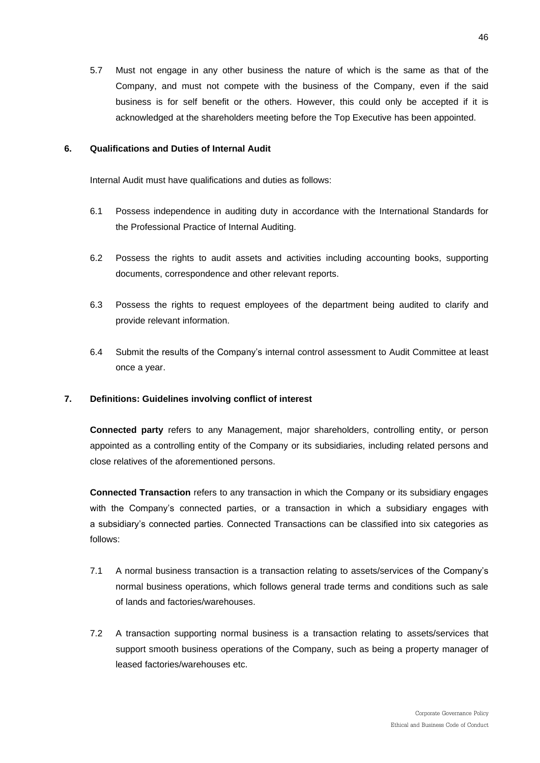5.7 Must not engage in any other business the nature of which is the same as that of the Company, and must not compete with the business of the Company, even if the said business is for self benefit or the others. However, this could only be accepted if it is acknowledged at the shareholders meeting before the Top Executive has been appointed.

#### **6. Qualifications and Duties of Internal Audit**

Internal Audit must have qualifications and duties as follows:

- 6.1 Possess independence in auditing duty in accordance with the International Standards for the Professional Practice of Internal Auditing.
- 6.2 Possess the rights to audit assets and activities including accounting books, supporting documents, correspondence and other relevant reports.
- 6.3 Possess the rights to request employees of the department being audited to clarify and provide relevant information.
- 6.4 Submit the results of the Company's internal control assessment to Audit Committee at least once a year.

#### **7. Definitions: Guidelines involving conflict of interest**

**Connected party** refers to any Management, major shareholders, controlling entity, or person appointed as a controlling entity of the Company or its subsidiaries, including related persons and close relatives of the aforementioned persons.

**Connected Transaction** refers to any transaction in which the Company or its subsidiary engages with the Company's connected parties, or a transaction in which a subsidiary engages with a subsidiary's connected parties. Connected Transactions can be classified into six categories as follows:

- 7.1 A normal business transaction is a transaction relating to assets/services of the Company's normal business operations, which follows general trade terms and conditions such as sale of lands and factories/warehouses.
- 7.2 A transaction supporting normal business is a transaction relating to assets/services that support smooth business operations of the Company, such as being a property manager of leased factories/warehouses etc.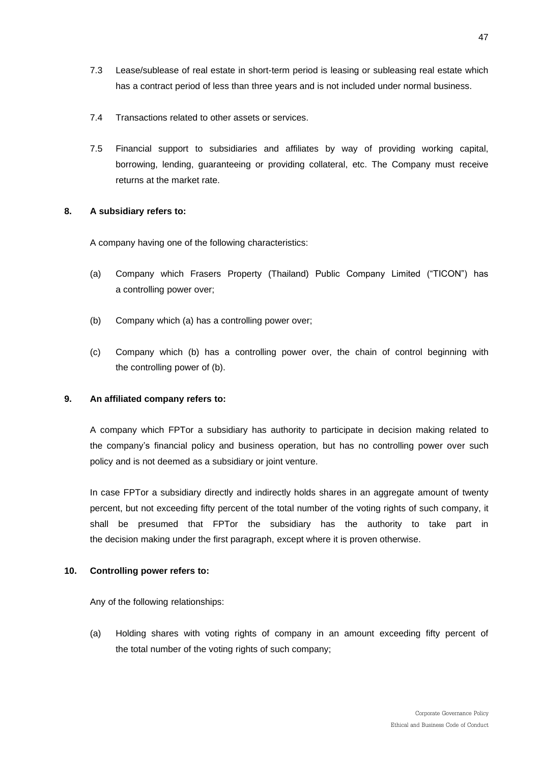- 7.3 Lease/sublease of real estate in short-term period is leasing or subleasing real estate which has a contract period of less than three years and is not included under normal business.
- 7.4 Transactions related to other assets or services.
- 7.5 Financial support to subsidiaries and affiliates by way of providing working capital, borrowing, lending, guaranteeing or providing collateral, etc. The Company must receive returns at the market rate.

#### **8. A subsidiary refers to:**

A company having one of the following characteristics:

- (a) Company which Frasers Property (Thailand) Public Company Limited ("TICON") has a controlling power over;
- (b) Company which (a) has a controlling power over;
- (c) Company which (b) has a controlling power over, the chain of control beginning with the controlling power of (b).

#### **9. An affiliated company refers to:**

A company which FPTor a subsidiary has authority to participate in decision making related to the company's financial policy and business operation, but has no controlling power over such policy and is not deemed as a subsidiary or joint venture.

In case FPTor a subsidiary directly and indirectly holds shares in an aggregate amount of twenty percent, but not exceeding fifty percent of the total number of the voting rights of such company, it shall be presumed that FPTor the subsidiary has the authority to take part in the decision making under the first paragraph, except where it is proven otherwise.

#### **10. Controlling power refers to:**

Any of the following relationships:

(a) Holding shares with voting rights of company in an amount exceeding fifty percent of the total number of the voting rights of such company;